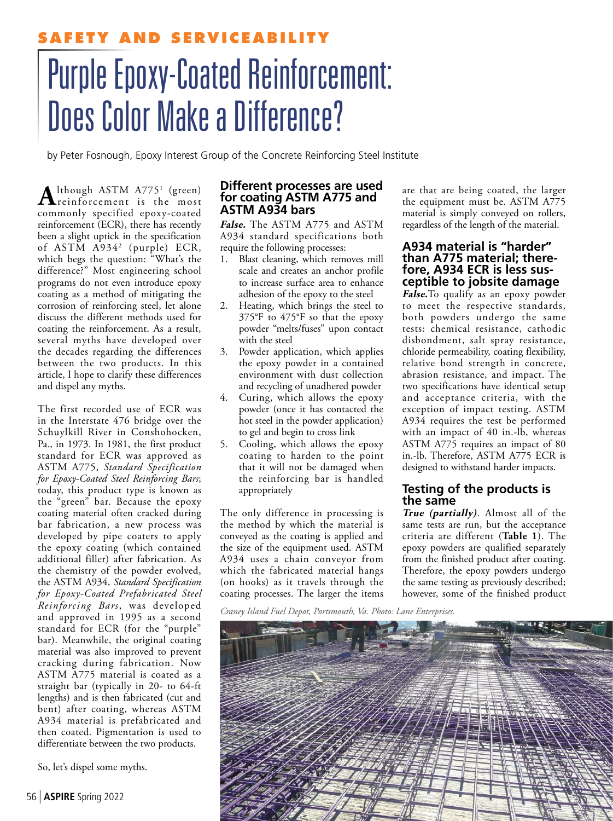# **SERVICEABILIT** Purple Epoxy-Coated Reinforcement: Does Color Make a Difference?

by Peter Fosnough, Epoxy Interest Group of the Concrete Reinforcing Steel Institute

Although ASTM A775<sup>1</sup> (green) lthough ASTM A775<sup>1</sup> (green) commonly specified epoxy-coated reinforcement (ECR), there has recently been a slight uptick in the specification of ASTM A9342 (purple) ECR, which begs the question: "What's the difference?" Most engineering school programs do not even introduce epoxy coating as a method of mitigating the corrosion of reinforcing steel, let alone discuss the different methods used for coating the reinforcement. As a result, several myths have developed over the decades regarding the differences between the two products. In this article, I hope to clarify these differences and dispel any myths.

The first recorded use of ECR was in the Interstate 476 bridge over the Schuylkill River in Conshohocken, Pa., in 1973. In 1981, the first product standard for ECR was approved as ASTM A775, *Standard Specification for Epoxy-Coated Steel Reinforcing Bars*; today, this product type is known as the "green" bar. Because the epoxy coating material often cracked during bar fabrication, a new process was developed by pipe coaters to apply the epoxy coating (which contained additional filler) after fabrication. As the chemistry of the powder evolved, the ASTM A934, *Standard Specification for Epoxy-Coated Prefabricated Steel Reinforcing Bars*, was developed and approved in 1995 as a second standard for ECR (for the "purple" bar). Meanwhile, the original coating material was also improved to prevent cracking during fabrication. Now ASTM A775 material is coated as a straight bar (typically in 20- to 64-ft lengths) and is then fabricated (cut and bent) after coating, whereas ASTM A934 material is prefabricated and then coated. Pigmentation is used to differentiate between the two products.

So, let's dispel some myths.

#### **Different processes are used for coating ASTM A775 and ASTM A934 bars**

**False.** The ASTM A775 and ASTM A934 standard specifications both require the following processes:

- 1. Blast cleaning, which removes mill scale and creates an anchor profile to increase surface area to enhance adhesion of the epoxy to the steel
- 2. Heating, which brings the steel to 375°F to 475°F so that the epoxy powder "melts/fuses" upon contact with the steel
- 3. Powder application, which applies the epoxy powder in a contained environment with dust collection and recycling of unadhered powder
- 4. Curing, which allows the epoxy powder (once it has contacted the hot steel in the powder application) to gel and begin to cross link
- 5. Cooling, which allows the epoxy coating to harden to the point that it will not be damaged when the reinforcing bar is handled appropriately

The only difference in processing is the method by which the material is conveyed as the coating is applied and the size of the equipment used. ASTM A934 uses a chain conveyor from which the fabricated material hangs (on hooks) as it travels through the coating processes. The larger the items are that are being coated, the larger the equipment must be. ASTM A775 material is simply conveyed on rollers, regardless of the length of the material.

#### **A934 material is "harder" than A775 material; therefore, A934 ECR is less susceptible to jobsite damage**

**False.**To qualify as an epoxy powder to meet the respective standards, both powders undergo the same tests: chemical resistance, cathodic disbondment, salt spray resistance, chloride permeability, coating flexibility, relative bond strength in concrete, abrasion resistance, and impact. The two specifications have identical setup and acceptance criteria, with the exception of impact testing. ASTM A934 requires the test be performed with an impact of 40 in.-lb, whereas ASTM A775 requires an impact of 80 in.-lb. Therefore, ASTM A775 ECR is designed to withstand harder impacts.

# **Testing of the products is the same**

**True (partially)**. Almost all of the same tests are run, but the acceptance criteria are different (**Table 1**). The epoxy powders are qualified separately from the finished product after coating. Therefore, the epoxy powders undergo the same testing as previously described; however, some of the finished product

*Craney Island Fuel Depot, Portsmouth, Va. Photo: Lane Enterprises.*